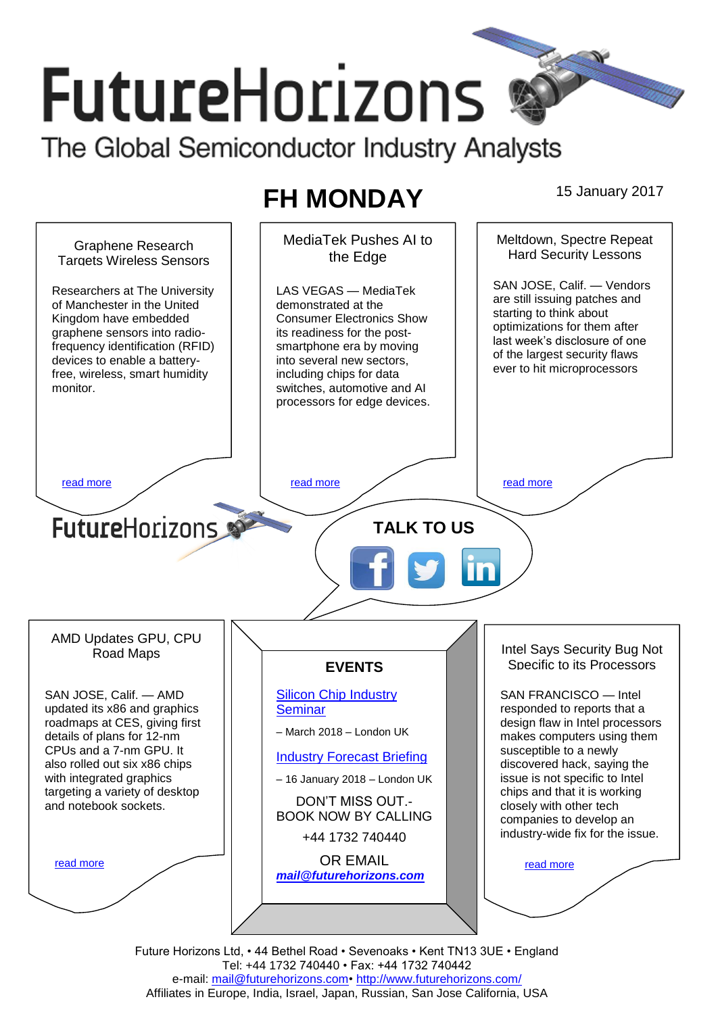# **FutureHorizons** The Global Semiconductor Industry Analysts

# **FH MONDAY** 15 January 2017

MediaTek Pushes AI to Meltdown, Spectre Repeat Graphene Research Hard Security Lessons the Edge **Targets Wireless Sensors** SAN JOSE, Calif. — Vendors Researchers at The University LAS VEGAS — MediaTek are still issuing patches and of Manchester in the United demonstrated at the starting to think about Kingdom have embedded Consumer Electronics Show optimizations for them after graphene sensors into radioits readiness for the postlast week's disclosure of one frequency identification (RFID) smartphone era by moving of the largest security flaws devices to enable a batteryinto several new sectors, ever to hit microprocessors free, wireless, smart humidity including chips for data monitor. switches, automotive and AI processors for edge devices. [read more](#page-1-1) that the second contract the second contract of the read more that the read more that the read more **Future**Horizons **TALK TO US** AMD Updates GPU, CPU Intel Says Security Bug Not Road Maps Specific to its Processors **EVENTS** SAN JOSE, Calif. — AMD [Silicon Chip Industry](http://www.futurehorizons.com/page/12/silicon-chip-training)  SAN FRANCISCO — Intel updated its x86 and graphics **[Seminar](http://www.futurehorizons.com/page/12/silicon-chip-training)** responded to reports that a roadmaps at CES, giving first design flaw in Intel processors – March 2018 – London UK details of plans for 12-nm makes computers using them CPUs and a 7-nm GPU. It susceptible to a newly [Industry Forecast Briefing](http://www.futurehorizons.com/page/13/Semiconductor-Market-Forecast-Seminar) also rolled out six x86 chips discovered hack, saying the with integrated graphics issue is not specific to Intel – 16 January 2018 – London UK targeting a variety of desktop chips and that it is working DON'T MISS OUT. and notebook sockets.closely with other tech BOOK NOW BY CALLING companies to develop an industry-wide fix for the issue. +44 1732 740440 OR EMAIL [read more](#page-1-3) [read more](#page-1-4) *[mail@futurehorizons.com](mailto:mail@futurehorizons.com)*

Future Horizons Ltd, • 44 Bethel Road • Sevenoaks • Kent TN13 3UE • England Tel: +44 1732 740440 • Fax: +44 1732 740442 e-mail: mail@futurehorizons.com• http://www.futurehorizons.com/ Affiliates in Europe, India, Israel, Japan, Russian, San Jose California, USA